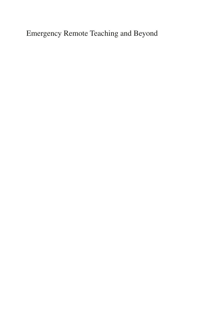Emergency Remote Teaching and Beyond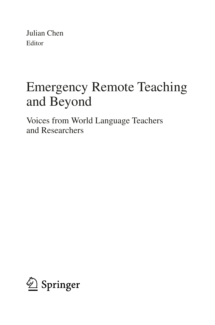Julian Chen Editor

# Emergency Remote Teaching and Beyond

Voices from World Language Teachers and Researchers

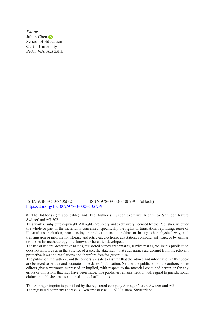*Editor* Julian Chen School of Education Curtin University Perth, WA, Australia

ISBN 978-3-030-84066-2 ISBN 978-3-030-84067-9 (eBook) <https://doi.org/10.1007/978-3-030-84067-9>

© The Editor(s) (if applicable) and The Author(s), under exclusive license to Springer Nature Switzerland AG 2021

This work is subject to copyright. All rights are solely and exclusively licensed by the Publisher, whether the whole or part of the material is concerned, specifcally the rights of translation, reprinting, reuse of illustrations, recitation, broadcasting, reproduction on microflms or in any other physical way, and transmission or information storage and retrieval, electronic adaptation, computer software, or by similar or dissimilar methodology now known or hereafter developed.

The use of general descriptive names, registered names, trademarks, service marks, etc. in this publication does not imply, even in the absence of a specific statement, that such names are exempt from the relevant protective laws and regulations and therefore free for general use.

The publisher, the authors, and the editors are safe to assume that the advice and information in this book are believed to be true and accurate at the date of publication. Neither the publisher nor the authors or the editors give a warranty, expressed or implied, with respect to the material contained herein or for any errors or omissions that may have been made. The publisher remains neutral with regard to jurisdictional claims in published maps and institutional affliations.

This Springer imprint is published by the registered company Springer Nature Switzerland AG The registered company address is: Gewerbestrasse 11, 6330 Cham, Switzerland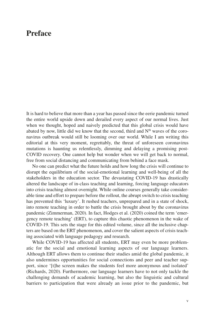# **Preface**

It is hard to believe that more than a year has passed since the eerie pandemic turned the entire world upside down and derailed every aspect of our normal lives. Just when we thought, hoped and naively predicted that this global crisis would have abated by now, little did we know that the second, third and  $N<sup>th</sup>$  waves of the coronavirus outbreak would still be looming over our world. While I am writing this editorial at this very moment, regrettably, the threat of unforeseen coronavirus mutations is haunting us relentlessly, dimming and delaying a promising post-COVID recovery. One cannot help but wonder when we will get back to normal, free from social distancing and communicating from behind a face mask.

No one can predict what the future holds and how long the crisis will continue to disrupt the equilibrium of the social-emotional learning and well-being of all the stakeholders in the education sector. The devastating COVID-19 has drastically altered the landscape of in-class teaching and learning, forcing language educators into crisis teaching almost overnight. While online courses generally take considerable time and effort to prepare before the rollout, the abrupt switch to crisis teaching has prevented this 'luxury'. It rushed teachers, unprepared and in a state of shock, into remote teaching in order to battle the crisis brought about by the coronavirus pandemic (Zimmerman, 2020). In fact, Hodges et al. (2020) coined the term 'emergency remote teaching' (ERT), to capture this chaotic phenomenon in the wake of COVID-19. This sets the stage for this edited volume, since all the inclusive chapters are based on the ERT phenomenon, and cover the salient aspects of crisis teaching associated with language pedagogy and research.

While COVID-19 has affected all students, ERT may even be more problematic for the social and emotional learning aspects of our language learners. Although ERT allows them to continue their studies amid the global pandemic, it also undermines opportunities for social connections and peer and teacher support, since '[t]he screen makes the students feel more anonymous and isolated' (Richards, 2020). Furthermore, our language learners have to not only tackle the challenging demands of academic learning, but also the linguistic and cultural barriers to participation that were already an issue prior to the pandemic, but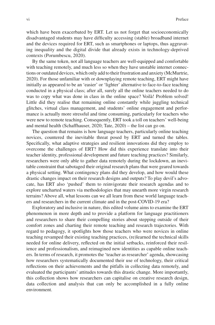which have been exacerbated by ERT. Let us not forget that socioeconomically disadvantaged students may have diffculty accessing (stable) broadband internet and the devices required for ERT, such as smartphones or laptops, thus aggravating inequality and the digital divide that already exists in technology-deprived contexts (Porumbescu, 2020).

By the same token, not all language teachers are well-equipped and comfortable with teaching remotely, and much less so when they have unstable internet connections or outdated devices, which only add to their frustration and anxiety (McMurtrie, 2020). For those unfamiliar with or downplaying remote teaching, ERT might have initially as appeared to be an 'easier' or 'lighter' alternative to face-to-face teaching conducted in a physical class; after all, surely all the online teachers needed to do was to copy what was done in class in the online space? Voilà! Problem solved! Little did they realise that remaining online constantly while juggling technical glitches, virtual class management, and students' online engagement and performance is actually more stressful and time consuming, particularly for teachers who were new to remote teaching. Consequently, ERT took a toll on teachers' well-being and mental health (Schaffhauser, 2020; Tate, 2020) – the list can go on.

The question that remains is how language teachers, particularly online teaching novices, countered the inevitable threat posed by ERT and turned the tables. Specifcally, what adaptive strategies and resilient innovations did they employ to overcome the challenges of ERT? How did this experience translate into their teacher identity, professional development and future teaching practices? Similarly, researchers were only able to gather data remotely during the lockdown, an inevitable constraint that sabotaged their original research plans that were geared towards a physical setting. What contingency plans did they develop, and how would these drastic changes impact on their research designs and outputs? To play devil's advocate, has ERT also 'pushed' them to reinvigorate their research agendas and to explore uncharted waters via methodologies that may unearth more virgin research terrains? Above all, what lessons can we all learn from these world language teachers and researchers in the current climate and in the post-COVID-19 era?

Exploratory and inclusive in nature, this edited volume aims to examine the ERT phenomenon in more depth and to provide a platform for language practitioners and researchers to share their compelling stories about stepping outside of their comfort zones and charting their remote teaching and research trajectories. With regard to pedagogy, it spotlights how those teachers who were novices in online teaching revamped their existing teaching practices, (re)learned the technical skills needed for online delivery, refected on the initial setbacks, reinforced their resilience and professionalism, and reimagined new identities as capable online teachers. In terms of research, it promotes the 'teacher as researcher' agenda, showcasing how researchers systematically documented their use of technology, their critical refections on their achievements and the pitfalls in collecting data remotely, and evaluated the participants' attitudes towards this drastic change. More importantly, this collection shows how researchers can capitalise on creative research design, data collection and analysis that can only be accomplished in a fully online environment.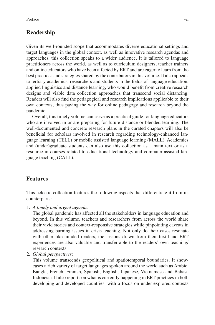## **Readership**

Given its well-rounded scope that accommodates diverse educational settings and target languages in the global context, as well as innovative research agendas and approaches, this collection speaks to a wider audience. It is tailored to language practitioners across the world, as well as to curriculum designers, teacher trainers and online educators who have been affected by ERT and are eager to learn from the best practices and strategies shared by the contributors in this volume. It also appeals to tertiary academics, researchers and students in the felds of language education, applied linguistics and distance learning, who would beneft from creative research designs and viable data collection approaches that transcend social distancing. Readers will also fnd the pedagogical and research implications applicable to their own contexts, thus paving the way for online pedagogy and research beyond the pandemic.

Overall, this timely volume can serve as a practical guide for language educators who are involved in or are preparing for future distance or blended learning. The well-documented and concrete research plans in the curated chapters will also be benefcial for scholars involved in research regarding technology-enhanced language learning (TELL) or mobile assisted language learning (MALL). Academics and (under)graduate students can also use this collection as a main text or as a resource in courses related to educational technology and computer-assisted language teaching (CALL).

## **Features**

This eclectic collection features the following aspects that differentiate it from its counterparts:

1. *A timely and urgent agenda:*

The global pandemic has affected all the stakeholders in language education and beyond. In this volume, teachers and researchers from across the world share their vivid stories and context-responsive strategies while pinpointing caveats in addressing burning issues in crisis teaching. Not only do their cases resonate with other like-minded readers, the lessons drawn from their frst-hand ERT experiences are also valuable and transferrable to the readers' own teaching/ research contexts.

2. *Global perspectives*:

This volume transcends geopolitical and spatiotemporal boundaries. It showcases a rich variety of target languages spoken around the world such as Arabic, Bangla, French, Finnish, Spanish, English, Japanese, Vietnamese and Bahasa Indonesia. It also reports on what is currently happening in ERT practices in both developing and developed countries, with a focus on under-explored contexts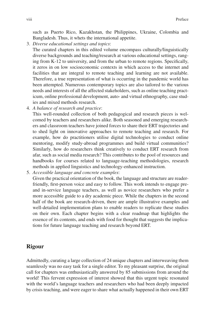such as Puerto Rico, Kazakhstan, the Philippines, Ukraine, Colombia and Bangladesh. Thus, it whets the international appetite.

3. *Diverse educational settings and topics*:

The curated chapters in this edited volume encompass culturally/linguistically diverse backgrounds and teaching/research at various educational settings, ranging from K-12 to university, and from the urban to remote regions. Specifcally, it zeros in on low socioeconomic contexts in which access to the internet and facilities that are integral to remote teaching and learning are not available. Therefore, a true representation of what is occurring in the pandemic world has been attempted. Numerous contemporary topics are also tailored to the various needs and interests of all the affected stakeholders, such as online teaching practicum, online professional development, auto- and virtual ethnography, case studies and mixed methods research.

4. *A balance of research and practice*:

This well-rounded collection of both pedagogical and research pieces is welcomed by teachers and researchers alike. Both seasoned and emerging researchers and classroom teachers have joined forces to share their ERT trajectories and to shed light on innovative approaches to remote teaching and research. For example, how do practitioners utilise digital technologies to conduct online mentoring, modify study-abroad programmes and build virtual communities? Similarly, how do researchers think creatively to conduct ERT research from afar, such as social media research? This contributes to the pool of resources and handbooks for courses related to language-teaching methodologies, research methods in applied linguistics and technology-enhanced instruction.

5. *Accessible language and concrete examples*:

Given the practical orientation of the book, the language and structure are readerfriendly, frst-person voice and easy to follow. This work intends to engage preand in-service language teachers, as well as novice researchers who prefer a more accessible guide to a dry academic piece. While the chapters in the second half of the book are research-driven, there are ample illustrative examples and well-detailed implementation plans to enable readers to replicate these studies on their own. Each chapter begins with a clear roadmap that highlights the essence of its contents, and ends with food for thought that suggests the implications for future language teaching and research beyond ERT.

## **Rigour**

Admittedly, curating a large collection of 24 unique chapters and interweaving them seamlessly was no easy task for a single editor. To my pleasant surprise, the original call for chapters was enthusiastically answered by 85 submissions from around the world! This fervent expression of interest showed that this urgent topic resonated with the world's language teachers and researchers who had been deeply impacted by crisis teaching, and were eager to share what actually happened in their own ERT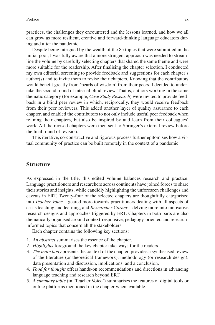practices, the challenges they encountered and the lessons learned, and how we all can grow as more resilient, creative and forward-thinking language educators during and after the pandemic.

Despite being intrigued by the wealth of the 85 topics that were submitted in the initial pool, I was fully aware that a more stringent approach was needed to streamline the volume by carefully selecting chapters that shared the same theme and were more suitable for the readership. After fnalising the chapter selection, I conducted my own editorial screening to provide feedback and suggestions for each chapter's author(s) and to invite them to revise their chapters. Knowing that the contributors would beneft greatly from 'pearls of wisdom' from their peers, I decided to undertake the second round of internal blind review. That is, authors working in the same thematic category (for example, *Case Study Research*) were invited to provide feedback in a blind peer review in which, reciprocally, they would receive feedback from their peer reviewers. This added another layer of quality assurance to each chapter, and enabled the contributors to not only include useful peer feedback when refning their chapters, but also be inspired by and learn from their colleagues' work. All the revised chapters were then sent to Springer's external review before the fnal round of revision.

This iterative, co-constructive and rigorous process further epitomises how a virtual community of practice can be built remotely in the context of a pandemic.

#### **Structure**

As expressed in the title, this edited volume balances research and practice. Language practitioners and researchers across continents have joined forces to share their stories and insights, while candidly highlighting the unforeseen challenges and caveats in ERT. Twenty-four of the selected chapters are thoughtfully categorised into *Teacher Voice* – geared more towards practitioners dealing with all aspects of crisis teaching and learning, and *Researcher Corner* – delving more into innovative research designs and approaches triggered by ERT. Chapters in both parts are also thematically organised around context-responsive, pedagogy-oriented and researchinformed topics that concern all the stakeholders.

Each chapter contains the following key sections:

- 1. *An abstract* summarises the essence of the chapter.
- 2. *Highlights* foreground the key chapter takeaways for the readers.
- 3. *The main body* presents the context of the chapter, provides a synthesised review of the literature (or theoretical framework), methodology (or research design), data presentation and discussion, implications, and a conclusion.
- 4. *Food for thought* offers hands-on recommendations and directions in advancing language teaching and research beyond ERT.
- 5. *A summary table* (in 'Teacher Voice') summarises the features of digital tools or online platforms mentioned in the chapter when available.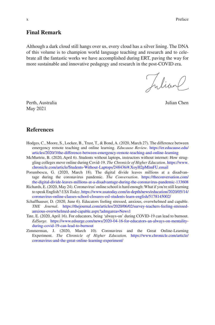### **Final Remark**

Although a dark cloud still hangs over us, every cloud has a silver lining. The DNA of this volume is to champion world language teaching and research and to celebrate all the fantastic works we have accomplished during ERT, paving the way for more sustainable and innovative pedagogy and research in the post-COVID era.

Julian

Perth, Australia Julian Chen May 2021

#### **References**

- Hodges, C., Moore, S., Lockee, B., Trust, T., & Bond, A. (2020, March 27). The difference between emergency remote teaching and online learning. *Educause Review*. [https://er.educause.edu/](https://er.educause.edu/articles/2020/3/the-difference-between-emergency-remote-teaching-and-online-learning) [articles/2020/3/the-difference-between-emergency-remote-teaching-and-online-learning](https://er.educause.edu/articles/2020/3/the-difference-between-emergency-remote-teaching-and-online-learning)
- McMurtrie, B. (2020, April 6). Students without laptops, instructors without internet: How struggling colleges move online during Covid-19. *The Chronicle of Higher Education*. [https://www.](https://www.chronicle.com/article/Students-Without-Laptops/248436/#.XoyH2pMlmFU.email) [chronicle.com/article/Students-Without-Laptops/248436/#.XoyH2pMlmFU.email](https://www.chronicle.com/article/Students-Without-Laptops/248436/#.XoyH2pMlmFU.email)
- Porumbescu, G. (2020, March 18). The digital divide leaves millions at a disadvantage during the coronavirus pandemic. *The Conversation*. [https://theconversation.com/](https://theconversation.com/the-digital-divide-leaves-millions-at-a-disadvantage-during-the-coronavirus-pandemic-133608) [the-digital-divide-leaves-millions-at-a-disadvantage-during-the-coronavirus-pandemic-133608](https://theconversation.com/the-digital-divide-leaves-millions-at-a-disadvantage-during-the-coronavirus-pandemic-133608)
- Richards, E. (2020, May 24). Coronavirus' online school is hard enough: What if you're still learning to speak English? *USA Today*. [https://www.usatoday.com/in-depth/news/education/2020/05/14/](https://www.usatoday.com/in-depth/news/education/2020/05/14/coronavirus-online-classes-school-closures-esl-students-learn-english/5178145002/) [coronavirus-online-classes-school-closures-esl-students-learn-english/5178145002/](https://www.usatoday.com/in-depth/news/education/2020/05/14/coronavirus-online-classes-school-closures-esl-students-learn-english/5178145002/)
- Schaffhauser, D. (2020, June 6). Educators feeling stressed, anxious, overwhelmed and capable. *THE Journal*. [https://thejournal.com/articles/2020/06/02/survey-teachers-feeling-stressed](https://thejournal.com/articles/2020/06/02/survey-teachers-feeling-stressed-anxious-overwhelmed-and-capable.aspx?admgarea=News1)[anxious-overwhelmed-and-capable.aspx?admgarea=News1](https://thejournal.com/articles/2020/06/02/survey-teachers-feeling-stressed-anxious-overwhelmed-and-capable.aspx?admgarea=News1)
- Tate, E. (2020, April 16). For educators, being 'always-on' during COVID-19 can lead to burnout. *EdSurge*. [https://www.edsurge.com/news/2020-04-16-for-educators-an-always-on-mentality](https://www.edsurge.com/news/2020-04-16-for-educators-an-always-on-mentality-during-covid-19-can-lead-to-burnout)[during-covid-19-can-lead-to-burnout](https://www.edsurge.com/news/2020-04-16-for-educators-an-always-on-mentality-during-covid-19-can-lead-to-burnout)
- Zimmerman, J. (2020, March 10). Coronavirus and the Great Online-Learning Experiment. *The Chronicle of Higher Education.* [https://www.chronicle.com/article/](https://www.chronicle.com/article/coronavirus-and-the-great-online-learning-experiment/) [coronavirus-and-the-great-online-learning-experiment/](https://www.chronicle.com/article/coronavirus-and-the-great-online-learning-experiment/)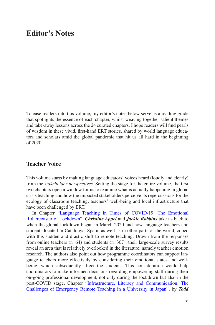# **Editor's Notes**

To ease readers into this volume, my editor's notes below serve as a reading guide that spotlights the essence of each chapter, whilst weaving together salient themes and take-away lessons across the 24 curated chapters. I hope readers will fnd pearls of wisdom in these vivid, frst-hand ERT stories, shared by world language educators and scholars amid the global pandemic that hit us all hard in the beginning of 2020.

#### **Teacher Voice**

This volume starts by making language educators' voices heard (loudly and clearly) from the *stakeholder perspectives*. Setting the stage for the entire volume, the frst two chapters open a window for us to examine what is actually happening in global crisis teaching and how the impacted stakeholders perceive its repercussions for the ecology of classroom teaching, teachers' well-being and local infrastructure that have been challenged by ERT.

In Chapter ["Language Teaching in Times of COVID-19: The Emotional](https://doi.org/10.1007/978-3-030-84067-9_1)  [Rollercoaster of Lockdown"](https://doi.org/10.1007/978-3-030-84067-9_1), *Christine Appel* and *Jackie Robbins* take us back to when the global lockdown began in March 2020 and how language teachers and students located in Catalunya, Spain, as well as in other parts of the world, coped with this sudden and drastic shift to remote teaching. Drawn from the responses from online teachers  $(n=64)$  and students  $(n=307)$ , their large-scale survey results reveal an area that is relatively overlooked in the literature, namely teacher emotion research. The authors also point out how programme coordinators can support language teachers more effectively by considering their emotional states and wellbeing, which subsequently affect the students. This consideration would help coordinators to make informed decisions regarding empowering staff during their on-going professional development, not only during the lockdown but also in the post-COVID stage. Chapter "[Infrastructure, Literacy and Communication: The](https://doi.org/10.1007/978-3-030-84067-9_2)  [Challenges of Emergency Remote Teaching in a University in Japan](https://doi.org/10.1007/978-3-030-84067-9_2)", by *Todd*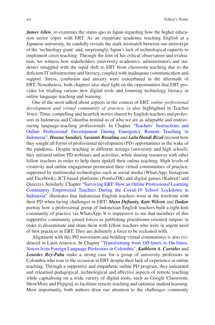*James Allen*, re-examines the status quo in Japan regarding how the higher education sector copes with ERT. As an expatriate academic teaching English at a Japanese university, he candidly reveals the stark mismatch between our stereotype of the 'technology giant' and, surprisingly, Japan's lack of technological capacity to implement crisis teaching. Through the lens of his critical observation and evaluation, we witness how stakeholders (university academics, administrators and students) struggled with the rapid shift to ERT from classroom teaching due to the defcient IT infrastructure and literacy, coupled with inadequate communication and support. Stress, confusion and anxiety were exacerbated in the aftermath of ERT. Nonetheless, both chapters also shed light on the opportunities that ERT provides for trialling various new digital tools and fostering technology literacy in online language teaching and learning.

One of the most talked about aspects in the context of ERT, *online professional development and virtual community of practice,* is also highlighted in Teacher Voice. Three compelling and heartfelt stories shared by English teachers and professors in Indonesia and Columbia remind us of who we are as adaptable and endeavouring language-teaching professionals. In Chapter "[Teachers' Instructions and](https://doi.org/10.1007/978-3-030-84067-9_3)  [Online Professional Development During Emergency Remote Teaching in](https://doi.org/10.1007/978-3-030-84067-9_3)  [Indonesia"](https://doi.org/10.1007/978-3-030-84067-9_3), *Hanna Sundari, Susianti Rosalina* and *Lalu Handi Rizal* recount how they sought all forms of professional development (PD) opportunities in the wake of the pandemic. Despite teaching in different settings (university and high school), they initiated online PD webinars and activities, while sharing resources with other fellow teachers in order to help them upskill their online teaching. High levels of creativity and online engagement permeated their virtual communities of practice, supported by multimodal technologies such as social media (WhatsApp, Instagram and Facebook), ICT-based platforms (*PembaTIK)* and digital games (Kahoot! and Quizizz). Similarly, Chapter ["Surviving ERT: How an Online Professional Learning](https://doi.org/10.1007/978-3-030-84067-9_4)  [Community Empowered Teachers During the Covid-19 School Lockdown in](https://doi.org/10.1007/978-3-030-84067-9_4)  [Indonesia"](https://doi.org/10.1007/978-3-030-84067-9_4) illustrates that Indonesian English teachers were at the forefront with their PD when facing challenges in ERT! *Maya Defanty, Kate Wilson* and *Dadan* portray how a professional group of Indonesian English teachers built a tight-knit community of practice via WhatsApp. It is impressive to see that members of this supportive community joined forces in publishing practitioner-oriented outputs in order to disseminate and share them with fellow teachers who were in urgent need of best practices in ERT. They are defnitely a force to be reckoned with.

Alignment with this PD movement and building virtual communities is also evidenced in Latin America. In Chapter ["Transforming from Off-liners to On-liners:](https://doi.org/10.1007/978-3-030-84067-9_5)  [Voices from Foreign Language Professors in Colombia](https://doi.org/10.1007/978-3-030-84067-9_5)", *Kathleen A. Corrales* and *Lourdes Rey-Paba* make a strong case for a group of university professors in Colombia who rose to the occasion in ERT despite their lack of experience in online teaching. Through a supportive and empathetic online PD program, they unlearned and relearned pedagogical, technological and affective aspects of remote teaching while capitalising on a wide variety of digital tools, such as Google Classroom, ShowMore and Flipgrid, to facilitate remote teaching and optimise student learning. Most importantly, both authors draw our attention to the challenges commonly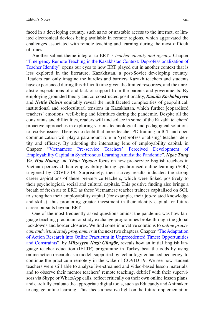faced in a developing country, such as no or unstable access to the internet, or limited electronical devices being available in remote regions, which aggravated the challenges associated with remote teaching and learning during the most diffcult of times.

Another salient theme integral to ERT is *teacher identity and agency.* Chapter ["Emergency Remote Teaching in the Kazakhstan Context: Deprofessionalization of](https://doi.org/10.1007/978-3-030-84067-9_6)  [Teacher Identity](https://doi.org/10.1007/978-3-030-84067-9_6)" opens our eyes to how ERT played out in another context that is less explored in the literature, Kazakhstan, a post-Soviet developing country. Readers can only imagine the hurdles and barriers Kazakh teachers and students have experienced during this diffcult time given the limited resources, and the unrealistic expectations of and lack of support from the parents and governments. By employing grounded theory and co-constructed positionality, *Kamila Kozhabayeva* and *Nettie Boivin* equitably reveal the multifaceted complexities of geopolitical, institutional and sociocultural tensions in Kazakhstan, which further jeopardised teachers' emotions, well-being and identities during the pandemic. Despite all the constraints and diffculties, readers will fnd solace in some of the Kazakh teachers' proactive approaches in exploring various technological and pedagogical solutions to resolve issues. There is no doubt that more teacher PD training in ICT and open communication will play a paramount role in '(re)professionalising' teacher identity and effcacy. By adopting the interesting lens of employability capital, in Chapter "[Vietnamese Pre-service Teachers' Perceived Development of](https://doi.org/10.1007/978-3-030-84067-9_7)  [Employability Capital in Synchronous Learning Amidst the Pandemic"](https://doi.org/10.1007/978-3-030-84067-9_7), *Ngoc Tung Vu*, *Hoa Hoang* and *Thao Nguyen* focus on how pre-service English teachers in Vietnam perceived their employability during synchronised online learning (SOL) triggered by COVID-19. Surprisingly, their survey results indicated the strong career aspirations of these pre-service teachers, which were linked positively to their psychological, social and cultural capitals. This positive fnding also brings a breath of fresh air to ERT, as these Vietnamese teacher trainees capitalised on SOL to strengthen their employability capital (for example, their job-related knowledge and skills), thus promoting greater investment in their identity capital for future career pursuits beyond ERT.

One of the most frequently asked questions amidst the pandemic was how language teaching practicum or study exchange programmes broke through the global lockdowns and border closures. We fnd some innovative solutions to *online practicum and virtual study programmes* in the next two chapters. Chapter ["The Adaptation](https://doi.org/10.1007/978-3-030-84067-9_8)  [of Action Research into Online Practicum in Unprecedented Times: Opportunities](https://doi.org/10.1007/978-3-030-84067-9_8)  [and Constraints"](https://doi.org/10.1007/978-3-030-84067-9_8), by *Müzeyyen Nazlı Güngör,* reveals how an initial English language teacher education (IELTE) programme in Turkey beat the odds by using online action research as a model, supported by technology-enhanced pedagogy, to continue the practicum remotely in the wake of COVID-19. We see how student teachers were still able to analyse live-streamed and video-based lesson materials, and to observe their mentor teachers' remote teaching, debrief with their supervisors via Skype or WhatsApp calls, refect critically on their own online lesson plans, and carefully evaluate the appropriate digital tools, such as Educandy and Animaker, to engage online learning. This sheds a positive light on the future implementation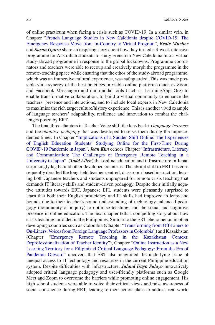of online practicum when facing a crisis such as COVID-19. In a similar vein, in Chapter "[French Language Studies in New Caledonia despite COVID-19: The](https://doi.org/10.1007/978-3-030-84067-9_9)  [Emergency Response Move from In-Country to Virtual Program](https://doi.org/10.1007/978-3-030-84067-9_9)", *Beate Mueller* and *Susan Oguro* share an inspiring story about how they turned a 3-week intensive programme for Australian students to study French in New Caledonia into a virtual study-abroad programme in response to the global lockdowns. Programme coordinators and teachers were able to recoup and creatively morph the programme in the remote-teaching space while ensuring that the ethos of the study-abroad programme, which was an immersive cultural experience, was safeguarded. This was made possible via a synergy of the best practices in viable online platforms (such as Zoom and Facebook Messenger) and multimodal tools (such as LearningApps.Org) to enable transformative collaboration, to build a virtual community to enhance the teachers' presence and interactions, and to include local experts in New Caledonia to maximise the rich target culture/history experience. This is another vivid example of language teachers' adaptability, resilience and innovation to combat the challenges posed by ERT.

The fnal three chapters in Teacher Voice shift the lens back to *language learners* and the *adaptive pedagogy* that was developed to serve them during the unprecedented times*.* In Chapter ["Implications of a Sudden Shift Online: The Experiences](https://doi.org/10.1007/978-3-030-84067-9_10)  [of English Education Students' Studying Online for the First-Time During](https://doi.org/10.1007/978-3-030-84067-9_10)  [COVID-19 Pandemic in Japan"](https://doi.org/10.1007/978-3-030-84067-9_10), *Jean Kim* echoes Chapter ["Infrastructure, Literacy](https://doi.org/10.1007/978-3-030-84067-9_2)  [and Communication: The Challenges of Emergency Remote Teaching in a](https://doi.org/10.1007/978-3-030-84067-9_2)  [University in Japan"](https://doi.org/10.1007/978-3-030-84067-9_2) (*Todd Allen*) that online education and infrastructure in Japan surprisingly lag behind other developed countries. The abrupt shift to ERT has consequently derailed the long-held teacher-centred, classroom-based instruction, leaving both Japanese teachers and students unprepared for remote crisis teaching that demands IT literacy skills and student-driven pedagogy. Despite their initially negative attitudes towards ERT, Japanese EFL students were pleasantly surprised to learn that both their English profciency and IT skills had improved in leaps and bounds due to their teacher's sound understanding of technology-enhanced pedagogy (community of inquiry) to optimise teaching, and the social and cognitive presence in online education. The next chapter tells a compelling story about how crisis teaching unfolded in the Philippines. Similar to the ERT phenomenon in other developing countries such as Colombia (Chapter ["Transforming from Off-Liners to](https://doi.org/10.1007/978-3-030-84067-9_5)  [On-Liners: Voices from Foreign Language Professors in Colombia](https://doi.org/10.1007/978-3-030-84067-9_5)") and Kazakhstan (Chapter "[Emergency Remote Teaching in the Kazakhstan Context:](https://doi.org/10.1007/978-3-030-84067-9_6)  [Deprofessionalization of Teacher Identity"](https://doi.org/10.1007/978-3-030-84067-9_6)), Chapter "[Online Instruction as a New](https://doi.org/10.1007/978-3-030-84067-9_11)  [Learning Territory for a Filipinized Critical Language Pedagogy: From the Era of](https://doi.org/10.1007/978-3-030-84067-9_11)  [Pandemic Onward"](https://doi.org/10.1007/978-3-030-84067-9_11) uncovers that ERT also magnified the underlying issue of unequal access to IT technology and resources in the current Philippine education system. Despite diffculties with infrastructure, *Juland Dayo Salayo* innovatively adopted critical language pedagogy and user-friendly platforms such as Google Meet and Zoom to overcome the barriers while promoting online engagement. His high school students were able to voice their critical views and raise awareness of social conscience during ERT, leading to their action plans to address real-world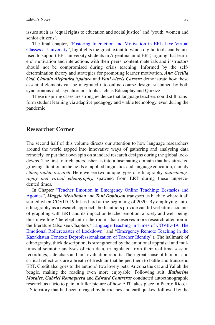issues such as 'equal rights to education and social justice' and 'youth, women and senior citizens'.

The fnal chapter, ["Fostering Interaction and Motivation in EFL Live Virtual](https://doi.org/10.1007/978-3-030-84067-9_12)  [Classes at University](https://doi.org/10.1007/978-3-030-84067-9_12)", highlights the great extent to which digital tools can be utilised to support EFL university students in Argentina amid ERT, arguing that learners' motivation and interactions with their peers, content materials and instructors should not be compromised during crisis teaching. Informed by the selfdetermination theory and strategies for promoting learner motivation, *Ana Cecilia Cad, Claudia Alejandra Spataro* and *Paul Alexis Carrera* demonstrate how these essential elements can be integrated into online course design, sustained by both synchronous and asynchronous tools such as Educaplay and Quizizz.

These inspiring cases are strong evidence that language teachers could still transform student learning via adaptive pedagogy and viable technology, even during the pandemic.

#### **Researcher Corner**

The second half of this volume directs our attention to how language researchers around the world tapped into innovative ways of gathering and analysing data remotely, or put their own spin on standard research designs during the global lockdowns. The frst four chapters usher us into a fascinating domain that has attracted growing attention in the felds of applied linguistics and language education, namely *ethnographic research*. Here we see two unique types of ethnography, *autoethnography and virtual ethnography,* spawned from ERT during these unprecedented times*.*

In Chapter "[Teacher Emotion in Emergency Online Teaching: Ecstasies and](https://doi.org/10.1007/978-3-030-84067-9_13)  [Agonies](https://doi.org/10.1007/978-3-030-84067-9_13)", *Maggie McAlinden* and *Toni Dobinson* transport us back to where it all started when COVID-19 hit us hard at the beginning of 2020. By employing autoethnography as a research approach, both authors provide candid verbatim accounts of grappling with ERT and its impact on teacher emotion, anxiety and well-being, thus unveiling 'the elephant in the room' that deserves more research attention in the literature (also see Chapters "[Language Teaching in Times of COVID-19: The](https://doi.org/10.1007/978-3-030-84067-9_1)  [Emotional Rollercoaster of Lockdown"](https://doi.org/10.1007/978-3-030-84067-9_1) and "[Emergency Remote Teaching in the](https://doi.org/10.1007/978-3-030-84067-9_6)  [Kazakhstan Context: Deprofessionalization of Teacher Identity](https://doi.org/10.1007/978-3-030-84067-9_6)"). The hallmark of ethnography, thick description, is strengthened by the emotional appraisal and multimodal semiotic analyses of rich data, triangulated from their real-time session recordings, side chats and unit evaluation reports. Their great sense of humour and critical refections are a breath of fresh air that helped them to battle and transcend ERT. Credit also goes to the authors' two lovely pets, Arizona the cat and Yallah the beagle, making the reading even more enjoyable. Following suit, *Katherine Morales, Gabriel Romaguera* and *Edward Contreras* conducted autoethnographic research as a trio to paint a fuller picture of how ERT takes place in Puerto Rico, a US territory that had been ravaged by hurricanes and earthquakes, followed by the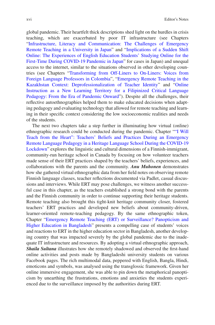global pandemic. Their heartfelt thick descriptions shed light on the hurdles in crisis teaching, which are exacerbated by poor IT infrastructure (see Chapters ["Infrastructure, Literacy and Communication: The Challenges of Emergency](https://doi.org/10.1007/978-3-030-84067-9_2)  [Remote Teaching in a University in Japan"](https://doi.org/10.1007/978-3-030-84067-9_2) and "[Implications of a Sudden Shift](https://doi.org/10.1007/978-3-030-84067-9_10)  [Online: The Experiences of English Education Students' Studying Online for the](https://doi.org/10.1007/978-3-030-84067-9_10)  [First-Time During COVID-19 Pandemic in Japan](https://doi.org/10.1007/978-3-030-84067-9_10)" for cases in Japan) and unequal access to the internet, similar to the situations observed in other developing countries (see Chapters ["Transforming from Off-Liners to On-Liners: Voices from](https://doi.org/10.1007/978-3-030-84067-9_5)  [Foreign Language Professors in Colombia"](https://doi.org/10.1007/978-3-030-84067-9_5), ["Emergency Remote Teaching in the](https://doi.org/10.1007/978-3-030-84067-9_6)  [Kazakhstan Context: Deprofessionalization of Teacher Identity](https://doi.org/10.1007/978-3-030-84067-9_6)" and ["Online](https://doi.org/10.1007/978-3-030-84067-9_11)  [Instruction as a New Learning Territory for a Filipinized Critical Language](https://doi.org/10.1007/978-3-030-84067-9_11)  [Pedagogy: From the Era of Pandemic Onward](https://doi.org/10.1007/978-3-030-84067-9_11)"). Despite all the challenges, their refective autoethnographies helped them to make educated decisions when adapting pedagogy and evaluating technology that allowed for remote teaching and learning in their specifc context considering the low socioeconomic realities and needs of the students.

The next two chapters take a step further in illuminating how virtual (online) ethnographic research could be conducted during the pandemic. Chapter [""I Will](https://doi.org/10.1007/978-3-030-84067-9_15)  [Teach from the Heart": Teachers' Beliefs and Practices During an Emergency](https://doi.org/10.1007/978-3-030-84067-9_15)  [Remote Language Pedagogy in a Heritage Language School During the COVID-19](https://doi.org/10.1007/978-3-030-84067-9_15)  [Lockdown](https://doi.org/10.1007/978-3-030-84067-9_15)" explores the linguistic and cultural dimensions of a Finnish-immigrant, community-run heritage school in Canada by focusing on how volunteer teachers made sense of their ERT practices shaped by the teachers' beliefs, experiences, and collaborations with the parents and the community. *Anu Muhonen* demonstrates how she gathered virtual ethnographic data from her feld notes on observing remote Finnish language classes, teacher refections documented via Padlet, casual discussions and interviews. While ERT may pose challenges, we witness another successful case in this chapter, as the teachers established a strong bond with the parents and the Finnish community in order to continue supporting their heritage students. Remote teaching also brought this tight-knit heritage community closer, fostered teachers' ERT practices and developed new beliefs about community-driven, learner-oriented remote-teaching pedagogy. By the same ethnographic token, Chapter "[Emergency Remote Teaching \(ERT\) or Surveillance? Panopticism and](https://doi.org/10.1007/978-3-030-84067-9_16)  [Higher Education in Bangladesh](https://doi.org/10.1007/978-3-030-84067-9_16)" presents a compelling case of students' voices and reactions to ERT in the higher education sector in Bangladesh, another developing country that was impacted severely by the global pandemic due to the inadequate IT infrastructure and resources. By adopting a virtual ethnographic approach, *Shaila Sultana* illustrates how she remotely shadowed and observed the frst-hand online activities and posts made by Bangladeshi university students on various Facebook pages. The rich multimodal data, peppered with English, Bangla, Hindi, emoticons and symbols, was analysed using the transglossic framework. Given her online immersive engagement, she was able to pin down the metaphorical panopticism by unearthing the frustrations, emotions and anxieties the students experienced due to the surveillance imposed by the authorities during ERT.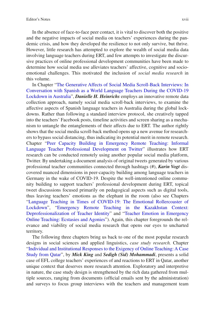In the absence of face-to-face peer contact, it is vital to discover both the positive and the negative impacts of social media on teachers' experiences during the pandemic crisis, and how they developed the resilience to not only survive, but thrive. However, little research has attempted to explore the wealth of social media data involving language teachers during ERT, and few attempts to investigate the discursive practices of online professional development communities have been made to determine how social media use alleviates teachers' affective, cognitive and socioemotional challenges. This motivated the inclusion of *social media research* in this volume.

In Chapter "[The Generative Affects of Social Media Scroll-Back Interviews: In](https://doi.org/10.1007/978-3-030-84067-9_17)  [Conversation with Spanish as a World Language Teachers During the COVID-19](https://doi.org/10.1007/978-3-030-84067-9_17)  [Lockdown in Australia"](https://doi.org/10.1007/978-3-030-84067-9_17), *Danielle H. Heinrichs* employs an innovative remote data collection approach, namely social media scroll-back interviews, to examine the affective aspects of Spanish language teachers in Australia during the global lockdowns. Rather than following a standard interview protocol, she creatively tapped into the teachers' Facebook posts, timeline activities and screen sharing as a mechanism to untangle the entanglements of their affects due to ERT. The author rightly shows that the social media scroll-back method opens up a new avenue for researchers to bypass social distancing, thus indicating its potential merit in remote research. Chapter ["Peer Capacity Building in Emergency Remote Teaching: Informal](https://doi.org/10.1007/978-3-030-84067-9_18)  [Language Teacher Professional Development on Twitter"](https://doi.org/10.1007/978-3-030-84067-9_18) illustrates how ERT research can be conducted remotely using another popular social media platform, Twitter. By undertaking a document analysis of original tweets generated by various professional teacher communities connected through hashtags (#), *Karin Vogt* discovered nuanced dimensions in peer-capacity building among language teachers in Germany in the wake of COVID-19. Despite the well-intentioned online community building to support teachers' professional development during ERT, topical tweet discussions focused primarily on pedagogical aspects such as digital tools, thus leaving teachers' emotions as the elephant in the room (also see Chapters ["Language Teaching in Times of COVID-19: The Emotional Rollercoaster of](https://doi.org/10.1007/978-3-030-84067-9_1)  [Lockdown](https://doi.org/10.1007/978-3-030-84067-9_1)", "[Emergency Remote Teaching in the Kazakhstan Context:](https://doi.org/10.1007/978-3-030-84067-9_6)  [Deprofessionalization of Teacher Identity"](https://doi.org/10.1007/978-3-030-84067-9_6) and "[Teacher Emotion in Emergency](https://doi.org/10.1007/978-3-030-84067-9_13)  [Online Teaching: Ecstasies and Agonies"](https://doi.org/10.1007/978-3-030-84067-9_13)). Again, this chapter foregrounds the relevance and viability of social media research that opens our eyes to uncharted territory.

The following three chapters bring us back to one of the most popular research designs in social sciences and applied linguistics, *case study research.* Chapter ["Individual and Institutional Responses to the Exigency of Online Teaching: A Case](https://doi.org/10.1007/978-3-030-84067-9_19)  [Study from Qatar"](https://doi.org/10.1007/978-3-030-84067-9_19), by *Mick King* and *Sedigh (Sid) Mohammadi*, presents a solid case of EFL college teachers' experiences of and reactions to ERT in Qatar, another unique context that deserves more research attention. Exploratory and interpretive in nature, the case study design is strengthened by the rich data gathered from multiple sources, ranging from documents (official emails sent by the administration) and surveys to focus group interviews with the teachers and management team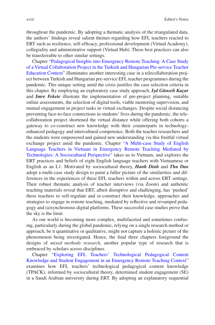throughout the pandemic. By adopting a thematic analysis of the triangulated data, the authors' fndings reveal salient themes regarding how EFL teachers reacted to ERT such as resilience, self-effcacy, professional development (Virtual Academy), collegiality and administrative support (Virtual Hub). These best practices can also be transferrable to other similar settings.

Chapter ["Pedagogical Insights into Emergency Remote Teaching: A Case Study](https://doi.org/10.1007/978-3-030-84067-9_20)  [of a Virtual Collaboration Project in the Turkish and Hungarian Pre-service Teacher](https://doi.org/10.1007/978-3-030-84067-9_20)  [Education Context](https://doi.org/10.1007/978-3-030-84067-9_20)" illuminates another interesting case in a telecollaboration project between Turkish and Hungarian pre-service EFL teacher programmes during the pandemic. This unique setting amid the crisis justifes the case selection criteria in this chapter. By employing an exploratory case study approach, *Işıl Günseli Kaçar* and *Imre Fekete* illustrate the implementation of pre-project planning, suitable online assessments, the selection of digital tools, viable mentoring supervision, and mutual engagement in project tasks in virtual exchanges. Despite social distancing preventing face-to-face connections in students' lives during the pandemic, the telecollaboration project shortened the virtual distance while offering both cohorts a gateway to co-construct new knowledge with their counterparts in technologyenhanced pedagogy and intercultural competence. Both the teacher researchers and the students were empowered and gained new understanding via this fruitful virtual exchange project amid the pandemic. Chapter ["A Multi-case Study of English](https://doi.org/10.1007/978-3-030-84067-9_21)  [Language Teachers in Vietnam in Emergency Remote Teaching Mediated by](https://doi.org/10.1007/978-3-030-84067-9_21)  [Technologies: A Sociocultural Perspective](https://doi.org/10.1007/978-3-030-84067-9_21)" takes us to Vietnam, and explores the ERT practices and beliefs of eight English language teachers with Vietnamese or English as an L1. Motivated by sociocultural theory, *Hanh Dinh* and *Thu Dao* adopt a multi-case study design to paint a fuller picture of the similarities and differences in the experiences of these EFL teachers within and across ERT settings. Their robust thematic analysis of teacher interviews (via Zoom) and authentic teaching materials reveal that ERT, albeit disruptive and challenging, has 'pushed' these teachers to self-regulate and re-construct their knowledge, approaches and strategies to engage in remote teaching, mediated by refective and revamped pedagogy and (a)synchronous digital platforms. These successful case studies prove that the sky is the limit.

As our world is becoming more complex, multifaceted and sometimes confusing, particularly during the global pandemic, relying on a single research method or approach, be it quantitative or qualitative, might not capture a holistic picture of the phenomenon being investigated. Hence, the fnal three chapters foreground the designs of *mixed methods research,* another popular type of research that is embraced by scholars across disciplines.

Chapter ["Exploring EFL Teachers' Technological Pedagogical Content](https://doi.org/10.1007/978-3-030-84067-9_22)  [Knowledge and Student Engagement in an Emergency Remote Teaching Context](https://doi.org/10.1007/978-3-030-84067-9_22)" examines how EFL teachers' technological pedagogical content knowledge (TPACK), informed by sociocultural theory, determined student engagement (SE) in a Saudi Arabian university during ERT. By adopting an explanatory sequential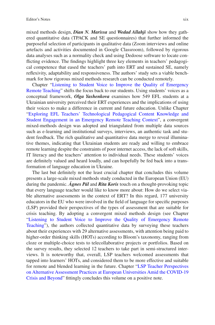mixed methods design, *Dian N. Marissa* and *Wedad Allahji* show how they gathered quantitative data (TPACK and SE questionnaires) that further informed the purposeful selection of participants in qualitative data (Zoom interviews and online artefacts and activities documented in Google Classroom), followed by rigorous data analyses such as a normality check and using Dedoose software to locate conficting evidence. The fndings highlight three key elements in teachers' pedagogical competence that eased the teachers' path into ERT and sustained SE, namely refexivity, adaptability and responsiveness. The authors' study sets a viable benchmark for how rigorous mixed methods research can be conducted remotely.

Chapter "[Listening to Student Voice to Improve the Quality of Emergency](https://doi.org/10.1007/978-3-030-84067-9_23)  [Remote Teaching"](https://doi.org/10.1007/978-3-030-84067-9_23) shifts the focus back to our students. Using students' voices as a conceptual framework, *Olga Yashenkova* examines how 549 EFL students at a Ukrainian university perceived their ERT experiences and the implications of using their voices to make a difference in current and future education. Unlike Chapter ["Exploring EFL Teachers' Technological Pedagogical Content Knowledge and](https://doi.org/10.1007/978-3-030-84067-9_22)  [Student Engagement in an Emergency Remote Teaching Context"](https://doi.org/10.1007/978-3-030-84067-9_22), a convergent mixed-methods design was adopted and triangulated from multiple data sources such as e-learning and institutional surveys, interviews, an authentic task and student feedback. The rich qualitative and quantitative data merge to reveal illuminative themes, indicating that Ukrainian students are ready and willing to embrace remote learning despite the constraints of poor internet access, the lack of soft skills, IT literacy and the teachers' attention to individual needs. These students' voices are defnitely valued and heard loudly, and can hopefully be fed back into a transformation of language education in Ukraine.

The last but defnitely not the least crucial chapter that concludes this volume presents a large-scale mixed methods study conducted in the European Union (EU) during the pandemic. *Ágnes Pál* and *Rita Koris* touch on a thought-provoking topic that every language teacher would like to know more about: How do we select viable alternative assessments in the context of ERT? In this regard, 177 university educators in the EU who were involved in the feld of language for specifc purposes (LSP) provided their perspectives of the types of assessment that are suitable for crisis teaching. By adopting a convergent mixed methods design (see Chapter ["Listening to Student Voice to Improve the Quality of Emergency Remote](https://doi.org/10.1007/978-3-030-84067-9_23)  [Teaching](https://doi.org/10.1007/978-3-030-84067-9_23)"), the authors collected quantitative data by surveying these teachers about their experiences with 29 alternative assessments, with attention being paid to higher-order thinking skills (HOTs) according to Bloom's taxonomy, ranging from cloze or multiple-choice tests to telecollaborative projects or portfolios. Based on the survey results, they selected 12 teachers to take part in semi-structured interviews. It is noteworthy that, overall, LSP teachers welcomed assessments that tapped into learners' HOTs, and considered them to be more effective and suitable for remote and blended learning in the future. Chapter ["LSP Teacher Perspectives](https://doi.org/10.1007/978-3-030-84067-9_24)  [on Alternative Assessment Practices at European Universities Amid the COVID-19](https://doi.org/10.1007/978-3-030-84067-9_24)  [Crisis and Beyond"](https://doi.org/10.1007/978-3-030-84067-9_24) fttingly concludes this volume on a positive note.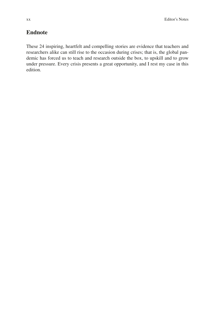## **Endnote**

These 24 inspiring, heartfelt and compelling stories are evidence that teachers and researchers alike can still rise to the occasion during crises; that is, the global pandemic has forced us to teach and research outside the box, to upskill and to grow under pressure. Every crisis presents a great opportunity, and I rest my case in this edition.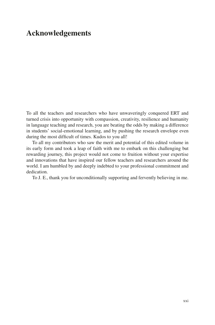# **Acknowledgements**

To all the teachers and researchers who have unwaveringly conquered ERT and turned crisis into opportunity with compassion, creativity, resilience and humanity in language teaching and research, you are beating the odds by making a difference in students' social-emotional learning, and by pushing the research envelope even during the most diffcult of times. Kudos to you all!

To all my contributors who saw the merit and potential of this edited volume in its early form and took a leap of faith with me to embark on this challenging but rewarding journey, this project would not come to fruition without your expertise and innovations that have inspired our fellow teachers and researchers around the world. I am humbled by and deeply indebted to your professional commitment and dedication.

To J. E., thank you for unconditionally supporting and fervently believing in me.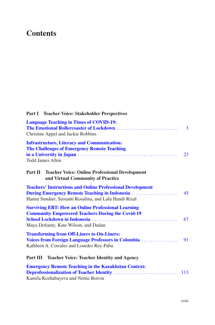# **Contents**

| Part I Teacher Voice: Stakeholder Perspectives                                                                                                                                       |     |
|--------------------------------------------------------------------------------------------------------------------------------------------------------------------------------------|-----|
| <b>Language Teaching in Times of COVID-19:</b><br>The Emotional Rollercoaster of Lockdown<br><b>Christine Appel and Jackie Robbins</b>                                               | 3   |
| <b>Infrastructure, Literacy and Communication:</b><br><b>The Challenges of Emergency Remote Teaching</b><br><b>Todd James Allen</b>                                                  | 23  |
| <b>Part II Teacher Voice: Online Professional Development</b><br>and Virtual Community of Practice                                                                                   |     |
| <b>Teachers' Instructions and Online Professional Development</b><br><b>During Emergency Remote Teaching in Indonesia </b><br>Hanna Sundari, Susianti Rosalina, and Lalu Handi Rizal | 45  |
| <b>Surviving ERT: How an Online Professional Learning</b><br><b>Community Empowered Teachers During the Covid-19</b><br>Maya Defianty, Kate Wilson, and Dadan                        | 67  |
| <b>Transforming from Off-Liners to On-Liners:</b><br>Voices from Foreign Language Professors in Colombia<br>Kathleen A. Corrales and Lourdes Rey-Paba                                | 91  |
| Part III Teacher Voice: Teacher Identity and Agency                                                                                                                                  |     |
| <b>Emergency Remote Teaching in the Kazakhstan Context:</b><br>Kamila Kozhabayeva and Nettie Boivin                                                                                  | 113 |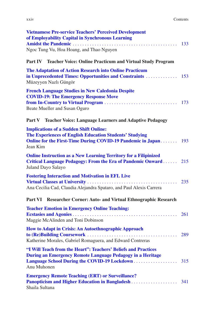| <b>Vietnamese Pre-service Teachers' Perceived Development</b><br>of Employability Capital in Synchronous Learning<br>Ngoc Tung Vu, Hoa Hoang, and Thao Nguyen                                         | 133 |
|-------------------------------------------------------------------------------------------------------------------------------------------------------------------------------------------------------|-----|
| Part IV Teacher Voice: Online Practicum and Virtual Study Program                                                                                                                                     |     |
| <b>The Adaptation of Action Research into Online Practicum</b><br>Müzeyyen Nazlı Güngör                                                                                                               |     |
| <b>French Language Studies in New Caledonia Despite</b><br><b>COVID-19: The Emergency Response Move</b><br>Beate Mueller and Susan Oguro                                                              |     |
| Part V Teacher Voice: Language Learners and Adaptive Pedagogy                                                                                                                                         |     |
| <b>Implications of a Sudden Shift Online:</b><br><b>The Experiences of English Education Students' Studying</b><br><b>Online for the First-Time During COVID-19 Pandemic in Japan</b> 193<br>Jean Kim |     |
| <b>Online Instruction as a New Learning Territory for a Filipinized</b><br>Critical Language Pedagogy: From the Era of Pandemic Onward<br>Juland Dayo Salayo                                          | 215 |
| <b>Fostering Interaction and Motivation in EFL Live</b><br>Ana Cecilia Cad, Claudia Alejandra Spataro, and Paul Alexis Carrera                                                                        |     |
| Part VI Researcher Corner: Auto- and Virtual Ethnographic Research                                                                                                                                    |     |
| <b>Teacher Emotion in Emergency Online Teaching:</b><br>Maggie McAlinden and Toni Dobinson                                                                                                            |     |
| How to Adapt in Crisis: An Autoethnographic Approach<br>Katherine Morales, Gabriel Romaguera, and Edward Contreras                                                                                    |     |
| "I Will Teach from the Heart": Teachers' Beliefs and Practices<br>During an Emergency Remote Language Pedagogy in a Heritage<br>Anu Muhonen                                                           | 315 |
| <b>Emergency Remote Teaching (ERT) or Surveillance?</b><br>Panopticism and Higher Education in Bangladesh<br>Shaila Sultana                                                                           | 341 |